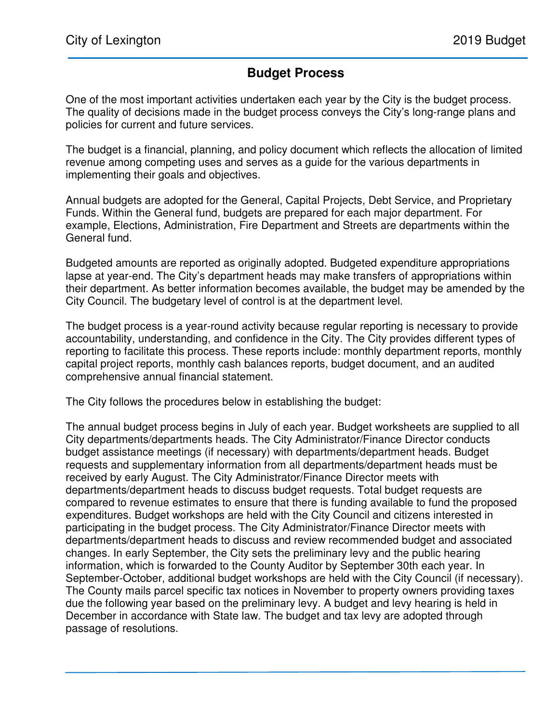## **Budget Process**

One of the most important activities undertaken each year by the City is the budget process. The quality of decisions made in the budget process conveys the City's long-range plans and policies for current and future services.

The budget is a financial, planning, and policy document which reflects the allocation of limited revenue among competing uses and serves as a guide for the various departments in implementing their goals and objectives.

Annual budgets are adopted for the General, Capital Projects, Debt Service, and Proprietary Funds. Within the General fund, budgets are prepared for each major department. For example, Elections, Administration, Fire Department and Streets are departments within the General fund.

Budgeted amounts are reported as originally adopted. Budgeted expenditure appropriations lapse at year-end. The City's department heads may make transfers of appropriations within their department. As better information becomes available, the budget may be amended by the City Council. The budgetary level of control is at the department level.

The budget process is a year-round activity because regular reporting is necessary to provide accountability, understanding, and confidence in the City. The City provides different types of reporting to facilitate this process. These reports include: monthly department reports, monthly capital project reports, monthly cash balances reports, budget document, and an audited comprehensive annual financial statement.

The City follows the procedures below in establishing the budget:

The annual budget process begins in July of each year. Budget worksheets are supplied to all City departments/departments heads. The City Administrator/Finance Director conducts budget assistance meetings (if necessary) with departments/department heads. Budget requests and supplementary information from all departments/department heads must be received by early August. The City Administrator/Finance Director meets with departments/department heads to discuss budget requests. Total budget requests are compared to revenue estimates to ensure that there is funding available to fund the proposed expenditures. Budget workshops are held with the City Council and citizens interested in participating in the budget process. The City Administrator/Finance Director meets with departments/department heads to discuss and review recommended budget and associated changes. In early September, the City sets the preliminary levy and the public hearing information, which is forwarded to the County Auditor by September 30th each year. In September-October, additional budget workshops are held with the City Council (if necessary). The County mails parcel specific tax notices in November to property owners providing taxes due the following year based on the preliminary levy. A budget and levy hearing is held in December in accordance with State law. The budget and tax levy are adopted through passage of resolutions.